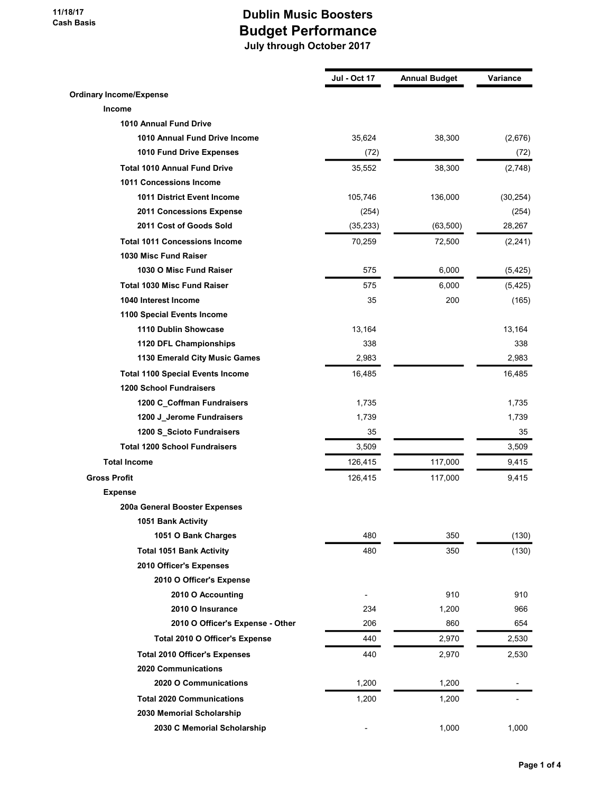|                                         | <b>Jul - Oct 17</b> | <b>Annual Budget</b> | Variance  |
|-----------------------------------------|---------------------|----------------------|-----------|
| <b>Ordinary Income/Expense</b>          |                     |                      |           |
| <b>Income</b>                           |                     |                      |           |
| 1010 Annual Fund Drive                  |                     |                      |           |
| 1010 Annual Fund Drive Income           | 35,624              | 38,300               | (2,676)   |
| 1010 Fund Drive Expenses                | (72)                |                      | (72)      |
| <b>Total 1010 Annual Fund Drive</b>     | 35,552              | 38,300               | (2,748)   |
| 1011 Concessions Income                 |                     |                      |           |
| 1011 District Event Income              | 105,746             | 136,000              | (30, 254) |
| 2011 Concessions Expense                | (254)               |                      | (254)     |
| 2011 Cost of Goods Sold                 | (35, 233)           | (63, 500)            | 28,267    |
| <b>Total 1011 Concessions Income</b>    |                     |                      |           |
| 1030 Misc Fund Raiser                   | 70,259              | 72,500               | (2,241)   |
| 1030 O Misc Fund Raiser                 | 575                 | 6,000                | (5, 425)  |
| <b>Total 1030 Misc Fund Raiser</b>      |                     |                      |           |
| 1040 Interest Income                    | 575                 | 6,000                | (5, 425)  |
|                                         | 35                  | 200                  | (165)     |
| 1100 Special Events Income              |                     |                      |           |
| 1110 Dublin Showcase                    | 13,164              |                      | 13,164    |
| 1120 DFL Championships                  | 338                 |                      | 338       |
| 1130 Emerald City Music Games           | 2,983               |                      | 2,983     |
| <b>Total 1100 Special Events Income</b> | 16,485              |                      | 16,485    |
| <b>1200 School Fundraisers</b>          |                     |                      |           |
| 1200 C_Coffman Fundraisers              | 1,735               |                      | 1,735     |
| 1200 J_Jerome Fundraisers               | 1,739               |                      | 1,739     |
| 1200 S_Scioto Fundraisers               | 35                  |                      | 35        |
| <b>Total 1200 School Fundraisers</b>    | 3,509               |                      | 3,509     |
| <b>Total Income</b>                     | 126,415             | 117,000              | 9,415     |
| <b>Gross Profit</b>                     | 126,415             | 117,000              | 9,415     |
| <b>Expense</b>                          |                     |                      |           |
| 200a General Booster Expenses           |                     |                      |           |
| 1051 Bank Activity                      |                     |                      |           |
| 1051 O Bank Charges                     | 480                 | 350                  | (130)     |
| <b>Total 1051 Bank Activity</b>         | 480                 | 350                  | (130)     |
| 2010 Officer's Expenses                 |                     |                      |           |
| 2010 O Officer's Expense                |                     |                      |           |
| 2010 O Accounting                       |                     | 910                  | 910       |
| 2010 O Insurance                        | 234                 | 1,200                | 966       |
| 2010 O Officer's Expense - Other        | 206                 | 860                  | 654       |
| Total 2010 O Officer's Expense          | 440                 | 2,970                | 2,530     |
| <b>Total 2010 Officer's Expenses</b>    | 440                 | 2,970                | 2,530     |
| 2020 Communications                     |                     |                      |           |
| 2020 O Communications                   | 1,200               | 1,200                |           |
| <b>Total 2020 Communications</b>        | 1,200               | 1,200                |           |
| 2030 Memorial Scholarship               |                     |                      |           |
| 2030 C Memorial Scholarship             |                     | 1,000                | 1,000     |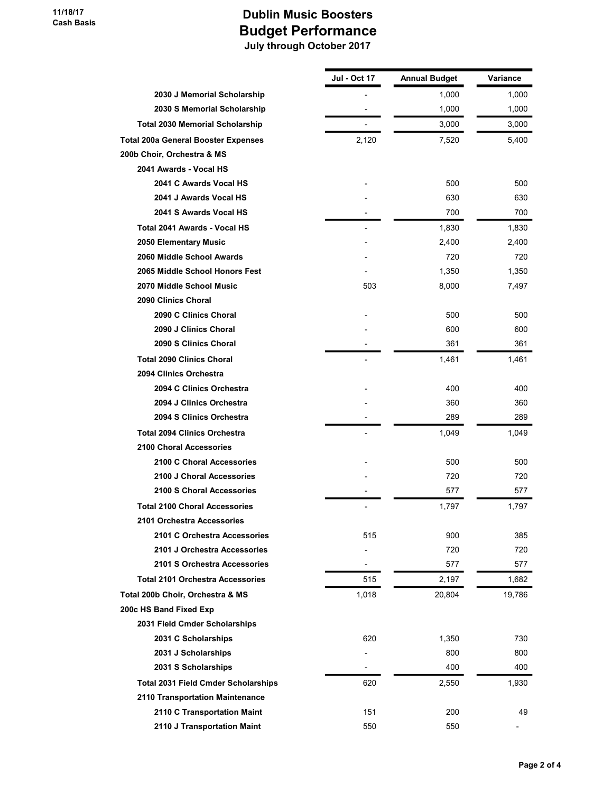|                                            | Jul - Oct 17             | <b>Annual Budget</b> | Variance |
|--------------------------------------------|--------------------------|----------------------|----------|
| 2030 J Memorial Scholarship                |                          | 1,000                | 1,000    |
| 2030 S Memorial Scholarship                |                          | 1,000                | 1,000    |
| <b>Total 2030 Memorial Scholarship</b>     |                          | 3,000                | 3,000    |
| <b>Total 200a General Booster Expenses</b> | 2,120                    | 7,520                | 5,400    |
| 200b Choir, Orchestra & MS                 |                          |                      |          |
| 2041 Awards - Vocal HS                     |                          |                      |          |
| 2041 C Awards Vocal HS                     |                          | 500                  | 500      |
| 2041 J Awards Vocal HS                     |                          | 630                  | 630      |
| 2041 S Awards Vocal HS                     |                          | 700                  | 700      |
| Total 2041 Awards - Vocal HS               | $\overline{\phantom{a}}$ | 1,830                | 1,830    |
| 2050 Elementary Music                      |                          | 2,400                | 2,400    |
| 2060 Middle School Awards                  |                          | 720                  | 720      |
| 2065 Middle School Honors Fest             |                          | 1,350                | 1,350    |
| 2070 Middle School Music                   | 503                      | 8,000                | 7,497    |
| 2090 Clinics Choral                        |                          |                      |          |
| 2090 C Clinics Choral                      |                          | 500                  | 500      |
| 2090 J Clinics Choral                      |                          | 600                  | 600      |
| 2090 S Clinics Choral                      |                          | 361                  | 361      |
| <b>Total 2090 Clinics Choral</b>           |                          | 1,461                | 1,461    |
| 2094 Clinics Orchestra                     |                          |                      |          |
| 2094 C Clinics Orchestra                   |                          | 400                  | 400      |
| 2094 J Clinics Orchestra                   |                          | 360                  | 360      |
| 2094 S Clinics Orchestra                   |                          | 289                  | 289      |
| <b>Total 2094 Clinics Orchestra</b>        |                          | 1,049                | 1,049    |
| <b>2100 Choral Accessories</b>             |                          |                      |          |
| 2100 C Choral Accessories                  |                          | 500                  | 500      |
| 2100 J Choral Accessories                  |                          | 720                  | 720      |
| 2100 S Choral Accessories                  |                          | 577                  | 577      |
| <b>Total 2100 Choral Accessories</b>       | $\overline{\phantom{a}}$ | 1,797                | 1,797    |
| 2101 Orchestra Accessories                 |                          |                      |          |
| 2101 C Orchestra Accessories               | 515                      | 900                  | 385      |
| 2101 J Orchestra Accessories               |                          | 720                  | 720      |
| 2101 S Orchestra Accessories               |                          | 577                  | 577      |
| <b>Total 2101 Orchestra Accessories</b>    | 515                      | 2,197                | 1,682    |
| Total 200b Choir, Orchestra & MS           | 1,018                    | 20,804               | 19,786   |
| 200c HS Band Fixed Exp                     |                          |                      |          |
| 2031 Field Cmder Scholarships              |                          |                      |          |
| 2031 C Scholarships                        | 620                      | 1,350                | 730      |
| 2031 J Scholarships                        |                          | 800                  | 800      |
| 2031 S Scholarships                        | $\overline{\phantom{a}}$ | 400                  | 400      |
| <b>Total 2031 Field Cmder Scholarships</b> | 620                      | 2,550                | 1,930    |
| 2110 Transportation Maintenance            |                          |                      |          |
| 2110 C Transportation Maint                | 151                      | 200                  | 49       |
| 2110 J Transportation Maint                | 550                      | 550                  |          |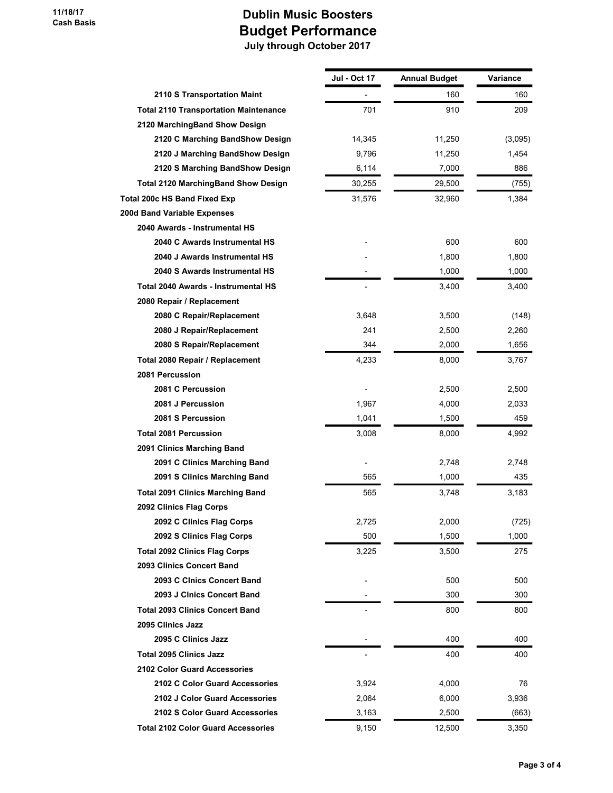|                                              | <b>Jul - Oct 17</b> | <b>Annual Budget</b> | Variance |
|----------------------------------------------|---------------------|----------------------|----------|
| 2110 S Transportation Maint                  |                     | 160                  | 160      |
| <b>Total 2110 Transportation Maintenance</b> | 701                 | 910                  | 209      |
| 2120 MarchingBand Show Design                |                     |                      |          |
| 2120 C Marching BandShow Design              | 14,345              | 11,250               | (3,095)  |
| 2120 J Marching BandShow Design              | 9,796               | 11,250               | 1,454    |
| 2120 S Marching BandShow Design              | 6,114               | 7,000                | 886      |
| <b>Total 2120 MarchingBand Show Design</b>   | 30,255              | 29,500               | (755)    |
| Total 200c HS Band Fixed Exp                 | 31,576              | 32,960               | 1,384    |
| 200d Band Variable Expenses                  |                     |                      |          |
| 2040 Awards - Instrumental HS                |                     |                      |          |
| 2040 C Awards Instrumental HS                |                     | 600                  | 600      |
| 2040 J Awards Instrumental HS                |                     | 1,800                | 1,800    |
| 2040 S Awards Instrumental HS                |                     | 1,000                | 1,000    |
| Total 2040 Awards - Instrumental HS          |                     | 3,400                | 3,400    |
| 2080 Repair / Replacement                    |                     |                      |          |
| 2080 C Repair/Replacement                    | 3,648               | 3,500                | (148)    |
| 2080 J Repair/Replacement                    | 241                 | 2,500                | 2,260    |
| 2080 S Repair/Replacement                    | 344                 | 2,000                | 1,656    |
| Total 2080 Repair / Replacement              | 4,233               | 8,000                | 3,767    |
| 2081 Percussion                              |                     |                      |          |
| 2081 C Percussion                            |                     | 2,500                | 2,500    |
| 2081 J Percussion                            | 1,967               | 4,000                | 2,033    |
| 2081 S Percussion                            | 1,041               | 1,500                | 459      |
| <b>Total 2081 Percussion</b>                 | 3,008               | 8,000                | 4,992    |
| 2091 Clinics Marching Band                   |                     |                      |          |
| 2091 C Clinics Marching Band                 |                     | 2,748                | 2,748    |
| 2091 S Clinics Marching Band                 | 565                 | 1,000                | 435      |
| <b>Total 2091 Clinics Marching Band</b>      | 565                 | 3,748                | 3,183    |
| 2092 Clinics Flag Corps                      |                     |                      |          |
| 2092 C Clinics Flag Corps                    | 2,725               | 2,000                | (725)    |
| 2092 S Clinics Flag Corps                    | 500                 | 1,500                | 1,000    |
| <b>Total 2092 Clinics Flag Corps</b>         | 3,225               | 3,500                | 275      |
| 2093 Clinics Concert Band                    |                     |                      |          |
| 2093 C Cinics Concert Band                   |                     | 500                  | 500      |
| 2093 J Cinics Concert Band                   |                     | 300                  | 300      |
| <b>Total 2093 Clinics Concert Band</b>       |                     | 800                  | 800      |
| 2095 Clinics Jazz                            |                     |                      |          |
| 2095 C Clinics Jazz                          |                     | 400                  | 400      |
| <b>Total 2095 Clinics Jazz</b>               |                     | 400                  | 400      |
| 2102 Color Guard Accessories                 |                     |                      |          |
| 2102 C Color Guard Accessories               | 3,924               | 4,000                | 76       |
| 2102 J Color Guard Accessories               | 2,064               | 6,000                | 3,936    |
| 2102 S Color Guard Accessories               | 3,163               | 2,500                | (663)    |
| <b>Total 2102 Color Guard Accessories</b>    | 9,150               | 12,500               | 3,350    |
|                                              |                     |                      |          |